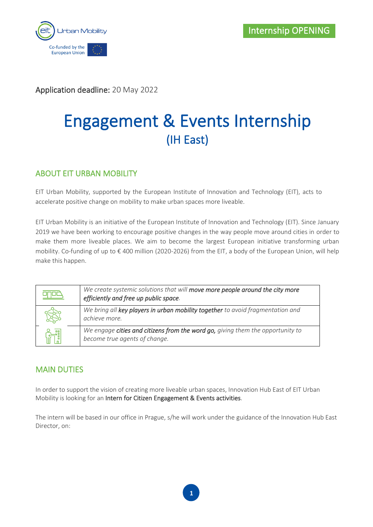

Application deadline: 20 May 2022

# Engagement & Events Internship (IH East)

## ABOUT EIT URBAN MOBILITY

EIT Urban Mobility, supported by the European Institute of Innovation and Technology (EIT), acts to accelerate positive change on mobility to make urban spaces more liveable.

EIT Urban Mobility is an initiative of the European Institute of Innovation and Technology (EIT). Since January 2019 we have been working to encourage positive changes in the way people move around cities in order to make them more liveable places. We aim to become the largest European initiative transforming urban mobility. Co-funding of up to € 400 million (2020-2026) from the EIT, a body of the European Union, will help make this happen.

| We create systemic solutions that will move more people around the city more<br>efficiently and free up public space. |
|-----------------------------------------------------------------------------------------------------------------------|
| We bring all key players in urban mobility together to avoid fragmentation and<br>achieve more.                       |
| We engage cities and citizens from the word go, giving them the opportunity to<br>become true agents of change.       |

## MAIN DUTIES

In order to support the vision of creating more liveable urban spaces, Innovation Hub East of EIT Urban Mobility is looking for an Intern for Citizen Engagement & Events activities.

The intern will be based in our office in Prague, s/he will work under the guidance of the Innovation Hub East Director, on: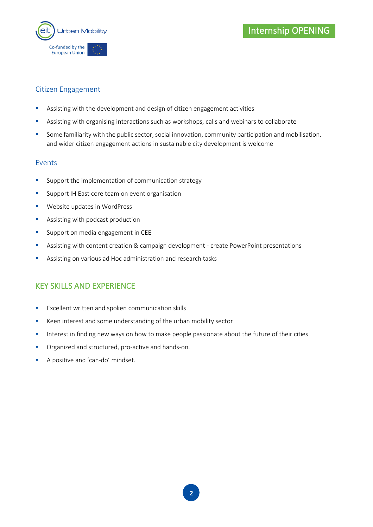

#### Citizen Engagement

- Assisting with the development and design of citizen engagement activities
- Assisting with organising interactions such as workshops, calls and webinars to collaborate
- **•** Some familiarity with the public sector, social innovation, community participation and mobilisation, and wider citizen engagement actions in sustainable city development is welcome

#### Events

- Support the implementation of communication strategy
- **E** Support IH East core team on event organisation
- Website updates in WordPress
- Assisting with podcast production
- **■** Support on media engagement in CEE
- Assisting with content creation & campaign development create PowerPoint presentations
- Assisting on various ad Hoc administration and research tasks

## KEY SKILLS AND EXPERIENCE

- Excellent written and spoken communication skills
- Keen interest and some understanding of the urban mobility sector
- **EXTERGHTM** Interest in finding new ways on how to make people passionate about the future of their cities
- Organized and structured, pro-active and hands-on.
- A positive and 'can-do' mindset.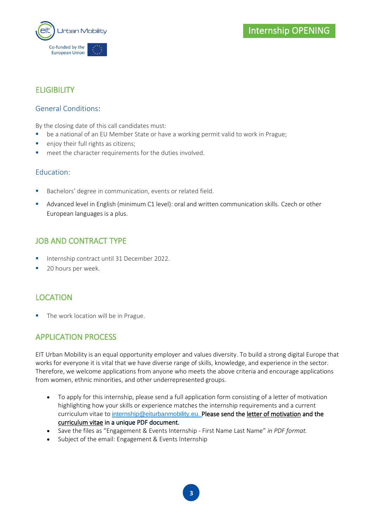

## ELIGIBILITY

#### General Conditions:

By the closing date of this call candidates must:

- be a national of an EU Member State or have a working permit valid to work in Prague;
- enjoy their full rights as citizens;
- meet the character requirements for the duties involved.

#### Education:

- Bachelors' degree in communication, events or related field.
- Advanced level in English (minimum C1 level): oral and written communication skills. Czech or other European languages is a plus.

## JOB AND CONTRACT TYPE

- Internship contract until 31 December 2022.
- 20 hours per week.

## LOCATION

The work location will be in Prague.

#### APPLICATION PROCESS

EIT Urban Mobility is an equal opportunity employer and values diversity. To build a strong digital Europe that works for everyone it is vital that we have diverse range of skills, knowledge, and experience in the sector. Therefore, we welcome applications from anyone who meets the above criteria and encourage applications from women, ethnic minorities, and other underrepresented groups.

- To apply for this internship, please send a full application form consisting of a letter of motivation highlighting how your skills or experience matches the internship requirements and a current curriculum vitae to [internship@eiturbanmobility.eu.](mailto:internship@eiturbanmobility.eu) Please send the letter of motivation and the curriculum vitae in a unique PDF document.
- Save the files as "Engagement & Events Internship First Name Last Name" *in PDF format.*
- Subject of the email: Engagement & Events Internship